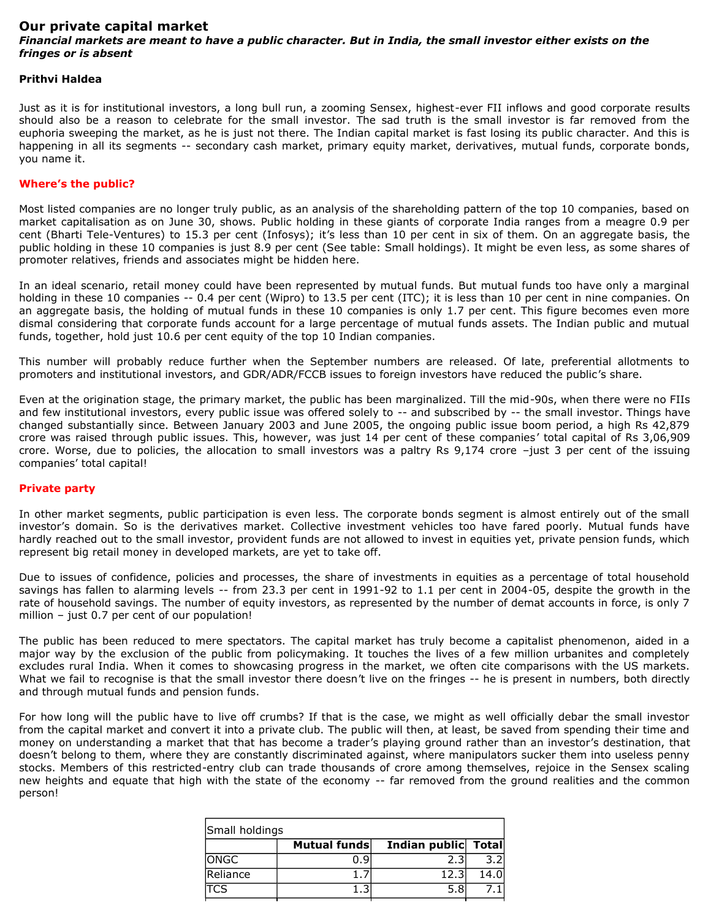# **Our private capital market**

# *Financial markets are meant to have a public character. But in India, the small investor either exists on the fringes or is absent*

### **Prithvi Haldea**

Just as it is for institutional investors, a long bull run, a zooming Sensex, highest-ever FII inflows and good corporate results should also be a reason to celebrate for the small investor. The sad truth is the small investor is far removed from the euphoria sweeping the market, as he is just not there. The Indian capital market is fast losing its public character. And this is happening in all its segments -- secondary cash market, primary equity market, derivatives, mutual funds, corporate bonds, you name it.

## **Where's the public?**

Most listed companies are no longer truly public, as an analysis of the shareholding pattern of the top 10 companies, based on market capitalisation as on June 30, shows. Public holding in these giants of corporate India ranges from a meagre 0.9 per cent (Bharti Tele-Ventures) to 15.3 per cent (Infosys); it's less than 10 per cent in six of them. On an aggregate basis, the public holding in these 10 companies is just 8.9 per cent (See table: Small holdings). It might be even less, as some shares of promoter relatives, friends and associates might be hidden here.

In an ideal scenario, retail money could have been represented by mutual funds. But mutual funds too have only a marginal holding in these 10 companies -- 0.4 per cent (Wipro) to 13.5 per cent (ITC); it is less than 10 per cent in nine companies. On an aggregate basis, the holding of mutual funds in these 10 companies is only 1.7 per cent. This figure becomes even more dismal considering that corporate funds account for a large percentage of mutual funds assets. The Indian public and mutual funds, together, hold just 10.6 per cent equity of the top 10 Indian companies.

This number will probably reduce further when the September numbers are released. Of late, preferential allotments to promoters and institutional investors, and GDR/ADR/FCCB issues to foreign investors have reduced the public's share.

Even at the origination stage, the primary market, the public has been marginalized. Till the mid-90s, when there were no FIIs and few institutional investors, every public issue was offered solely to -- and subscribed by -- the small investor. Things have changed substantially since. Between January 2003 and June 2005, the ongoing public issue boom period, a high Rs 42,879 crore was raised through public issues. This, however, was just 14 per cent of these companies' total capital of Rs 3,06,909 crore. Worse, due to policies, the allocation to small investors was a paltry Rs 9,174 crore –just 3 per cent of the issuing companies' total capital!

#### **Private party**

In other market segments, public participation is even less. The corporate bonds segment is almost entirely out of the small investor's domain. So is the derivatives market. Collective investment vehicles too have fared poorly. Mutual funds have hardly reached out to the small investor, provident funds are not allowed to invest in equities yet, private pension funds, which represent big retail money in developed markets, are yet to take off.

Due to issues of confidence, policies and processes, the share of investments in equities as a percentage of total household savings has fallen to alarming levels -- from 23.3 per cent in 1991-92 to 1.1 per cent in 2004-05, despite the growth in the rate of household savings. The number of equity investors, as represented by the number of demat accounts in force, is only 7 million – just 0.7 per cent of our population!

The public has been reduced to mere spectators. The capital market has truly become a capitalist phenomenon, aided in a major way by the exclusion of the public from policymaking. It touches the lives of a few million urbanites and completely excludes rural India. When it comes to showcasing progress in the market, we often cite comparisons with the US markets. What we fail to recognise is that the small investor there doesn't live on the fringes -- he is present in numbers, both directly and through mutual funds and pension funds.

For how long will the public have to live off crumbs? If that is the case, we might as well officially debar the small investor from the capital market and convert it into a private club. The public will then, at least, be saved from spending their time and money on understanding a market that that has become a trader's playing ground rather than an investor's destination, that doesn't belong to them, where they are constantly discriminated against, where manipulators sucker them into useless penny stocks. Members of this restricted-entry club can trade thousands of crore among themselves, rejoice in the Sensex scaling new heights and equate that high with the state of the economy -- far removed from the ground realities and the common person!

| Small holdings |              |                     |      |  |
|----------------|--------------|---------------------|------|--|
|                | Mutual funds | Indian public Total |      |  |
| ONGC           | 0. 9         | 2.3                 |      |  |
| Reliance       |              | 12.3                | 14.0 |  |
| TCS            |              | 5.8                 |      |  |
|                |              |                     |      |  |